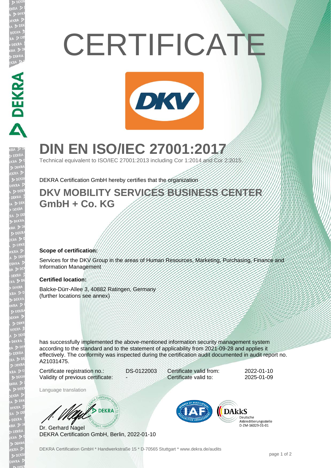# **CERTIFICATE**



# **DIN EN ISO/IEC 27001:2017**

Technical equivalent to ISO/IEC 27001:2013 including Cor 1:2014 and Cor 2:2015.

DEKRA Certification GmbH hereby certifies that the organization

### **DKV MOBILITY SERVICES BUSINESS CENTER GmbH + Co. KG**

#### **Scope of certification:**

DEKRA

**DEKRA** 

Services for the DKV Group in the areas of Human Resources, Marketing, Purchasing, Finance and Information Management

#### **Certified location:**

Balcke-Dürr-Allee 3, 40882 Ratingen, Germany (further locations see annex)

has successfully implemented the above-mentioned information security management system according to the standard and to the statement of applicability from 2021-09-28 and applies it effectively. The conformity was inspected during the certification audit documented in audit report no. A21031475.

Certificate registration no.: DS-0122003 Validity of previous certificate:

Certificate valid from: 2022-01-10 Certificate valid to: 2025-01-09

Language translation

**DEKRA** 

Dr. Gerhard Nagel DEKRA Certification GmbH, Berlin, 2022-01-10



Deutsche Akkreditierungsstelle D-7M-16029-01-01